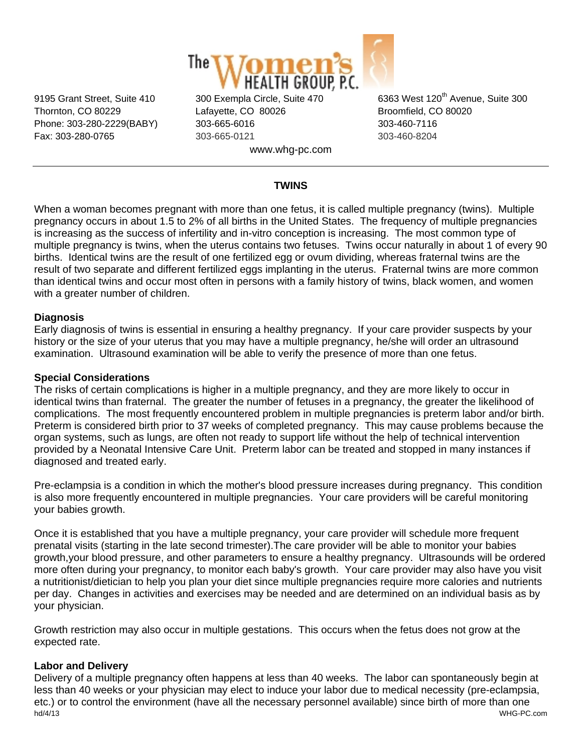

Thornton, CO 80229 Lafayette, CO 80026 Broomfield, CO 80020 Phone: 303-280-2229(BABY) 303-665-6016 303-460-7116 Fax: 303-280-0765 303-665-0121 303-460-8204 www.whg-pc.com

9195 Grant Street, Suite 410 300 Exempla Circle, Suite 470 6363 West 120<sup>th</sup> Avenue, Suite 300

# **TWINS**

When a woman becomes pregnant with more than one fetus, it is called multiple pregnancy (twins). Multiple pregnancy occurs in about 1.5 to 2% of all births in the United States. The frequency of multiple pregnancies is increasing as the success of infertility and in-vitro conception is increasing. The most common type of multiple pregnancy is twins, when the uterus contains two fetuses. Twins occur naturally in about 1 of every 90 births. Identical twins are the result of one fertilized egg or ovum dividing, whereas fraternal twins are the result of two separate and different fertilized eggs implanting in the uterus. Fraternal twins are more common than identical twins and occur most often in persons with a family history of twins, black women, and women with a greater number of children.

### **Diagnosis**

Early diagnosis of twins is essential in ensuring a healthy pregnancy. If your care provider suspects by your history or the size of your uterus that you may have a multiple pregnancy, he/she will order an ultrasound examination. Ultrasound examination will be able to verify the presence of more than one fetus.

### **Special Considerations**

The risks of certain complications is higher in a multiple pregnancy, and they are more likely to occur in identical twins than fraternal. The greater the number of fetuses in a pregnancy, the greater the likelihood of complications. The most frequently encountered problem in multiple pregnancies is preterm labor and/or birth. Preterm is considered birth prior to 37 weeks of completed pregnancy. This may cause problems because the organ systems, such as lungs, are often not ready to support life without the help of technical intervention provided by a Neonatal Intensive Care Unit. Preterm labor can be treated and stopped in many instances if diagnosed and treated early.

Pre-eclampsia is a condition in which the mother's blood pressure increases during pregnancy. This condition is also more frequently encountered in multiple pregnancies. Your care providers will be careful monitoring your babies growth.

Once it is established that you have a multiple pregnancy, your care provider will schedule more frequent prenatal visits (starting in the late second trimester).The care provider will be able to monitor your babies growth,your blood pressure, and other parameters to ensure a healthy pregnancy. Ultrasounds will be ordered more often during your pregnancy, to monitor each baby's growth. Your care provider may also have you visit a nutritionist/dietician to help you plan your diet since multiple pregnancies require more calories and nutrients per day. Changes in activities and exercises may be needed and are determined on an individual basis as by your physician.

Growth restriction may also occur in multiple gestations. This occurs when the fetus does not grow at the expected rate.

# **Labor and Delivery**

hd/4/13 WHG-PC.com Delivery of a multiple pregnancy often happens at less than 40 weeks. The labor can spontaneously begin at less than 40 weeks or your physician may elect to induce your labor due to medical necessity (pre-eclampsia, etc.) or to control the environment (have all the necessary personnel available) since birth of more than one